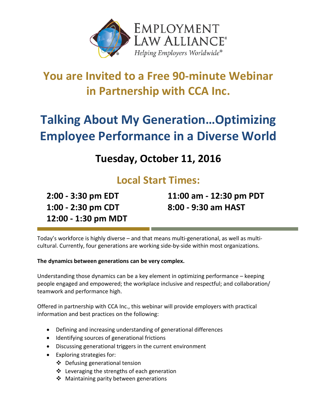

## **You are Invited to a Free 90-minute Webinar in Partnership with CCA Inc.**

# **Talking About My Generation…Optimizing Employee Performance in a Diverse World**

## **Tuesday, October 11, 2016**

### **Local Start Times:**

**2:00 - 3:30 pm EDT 1:00 - 2:30 pm CDT 12:00 - 1:30 pm MDT** **11:00 am - 12:30 pm PDT 8:00 - 9:30 am HAST**

Today's workforce is highly diverse – and that means multi-generational, as well as multicultural. Currently, four generations are working side-by-side within most organizations.

#### **The dynamics between generations can be very complex.**

Understanding those dynamics can be a key element in optimizing performance – keeping people engaged and empowered; the workplace inclusive and respectful; and collaboration/ teamwork and performance high.

Offered in partnership with CCA Inc., this webinar will provide employers with practical information and best practices on the following:

- Defining and increasing understanding of generational differences
- Identifying sources of generational frictions
- Discussing generational triggers in the current environment
- Exploring strategies for:
	- Defusing generational tension
	- $\cdot$  Leveraging the strengths of each generation
	- ❖ Maintaining parity between generations